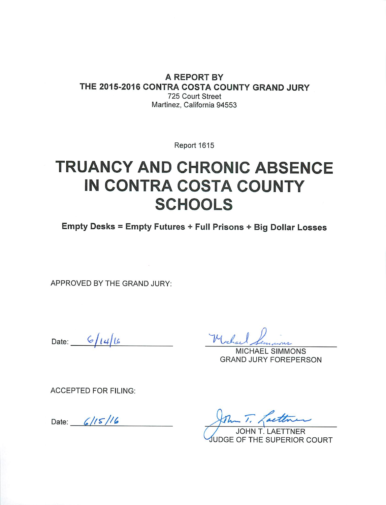A REPORT BY THE 2015-2016 CONTRA COSTA COUNTY GRAND JURY 725 Court Street Martinez, California 94553

Report 1615

# **TRUANCY AND CHRONIC ABSENCE IN CONTRA COSTA COUNTY SCHOOLS**

Empty Desks = Empty Futures + Full Prisons + Big Dollar Losses

APPROVED BY THE GRAND JURY:

Date:  $6/14/16$ 

Mechan

**MICHAEL SIMMONS GRAND JURY FOREPERSON** 

**ACCEPTED FOR FILING:** 

Date:  $6/15/16$ 

**AETTNER JDGE OF THE SUPERIOR COURT**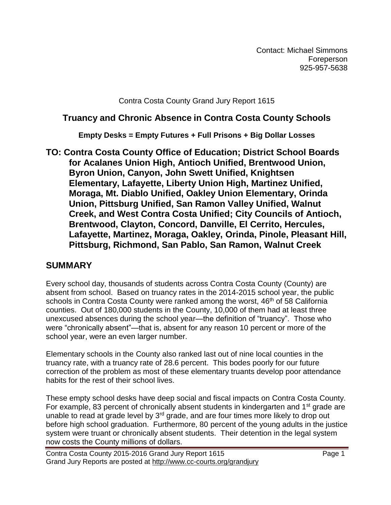Contact: Michael Simmons Foreperson 925-957-5638

Contra Costa County Grand Jury Report 1615

### **Truancy and Chronic Absence in Contra Costa County Schools**

**Empty Desks = Empty Futures + Full Prisons + Big Dollar Losses**

**TO: Contra Costa County Office of Education; District School Boards for Acalanes Union High, Antioch Unified, Brentwood Union, Byron Union, Canyon, John Swett Unified, Knightsen Elementary, Lafayette, Liberty Union High, Martinez Unified, Moraga, Mt. Diablo Unified, Oakley Union Elementary, Orinda Union, Pittsburg Unified, San Ramon Valley Unified, Walnut Creek, and West Contra Costa Unified; City Councils of Antioch, Brentwood, Clayton, Concord, Danville, El Cerrito, Hercules, Lafayette, Martinez, Moraga, Oakley, Orinda, Pinole, Pleasant Hill, Pittsburg, Richmond, San Pablo, San Ramon, Walnut Creek**

## **SUMMARY**

Every school day, thousands of students across Contra Costa County (County) are absent from school. Based on truancy rates in the 2014-2015 school year, the public schools in Contra Costa County were ranked among the worst, 46<sup>th</sup> of 58 California counties. Out of 180,000 students in the County, 10,000 of them had at least three unexcused absences during the school year—the definition of "truancy". Those who were "chronically absent"—that is, absent for any reason 10 percent or more of the school year, were an even larger number.

Elementary schools in the County also ranked last out of nine local counties in the truancy rate, with a truancy rate of 28.6 percent. This bodes poorly for our future correction of the problem as most of these elementary truants develop poor attendance habits for the rest of their school lives.

These empty school desks have deep social and fiscal impacts on Contra Costa County. For example, 83 percent of chronically absent students in kindergarten and  $1<sup>st</sup>$  grade are unable to read at grade level by  $3<sup>rd</sup>$  grade, and are four times more likely to drop out before high school graduation. Furthermore, 80 percent of the young adults in the justice system were truant or chronically absent students. Their detention in the legal system now costs the County millions of dollars.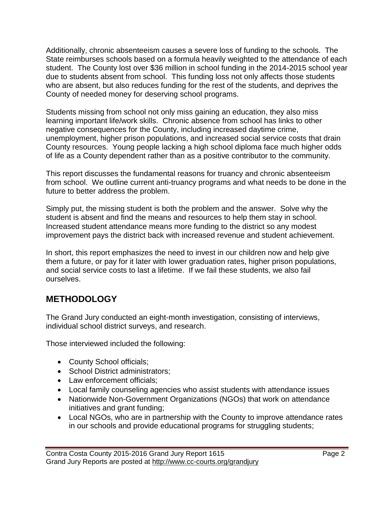Additionally, chronic absenteeism causes a severe loss of funding to the schools. The State reimburses schools based on a formula heavily weighted to the attendance of each student. The County lost over \$36 million in school funding in the 2014-2015 school year due to students absent from school. This funding loss not only affects those students who are absent, but also reduces funding for the rest of the students, and deprives the County of needed money for deserving school programs.

Students missing from school not only miss gaining an education, they also miss learning important life/work skills. Chronic absence from school has links to other negative consequences for the County, including increased daytime crime, unemployment, higher prison populations, and increased social service costs that drain County resources. Young people lacking a high school diploma face much higher odds of life as a County dependent rather than as a positive contributor to the community.

This report discusses the fundamental reasons for truancy and chronic absenteeism from school. We outline current anti-truancy programs and what needs to be done in the future to better address the problem.

Simply put, the missing student is both the problem and the answer. Solve why the student is absent and find the means and resources to help them stay in school. Increased student attendance means more funding to the district so any modest improvement pays the district back with increased revenue and student achievement.

In short, this report emphasizes the need to invest in our children now and help give them a future, or pay for it later with lower graduation rates, higher prison populations, and social service costs to last a lifetime. If we fail these students, we also fail ourselves.

## **METHODOLOGY**

The Grand Jury conducted an eight-month investigation, consisting of interviews, individual school district surveys, and research.

Those interviewed included the following:

- County School officials;
- School District administrators;
- Law enforcement officials:
- Local family counseling agencies who assist students with attendance issues
- Nationwide Non-Government Organizations (NGOs) that work on attendance initiatives and grant funding;
- Local NGOs, who are in partnership with the County to improve attendance rates in our schools and provide educational programs for struggling students;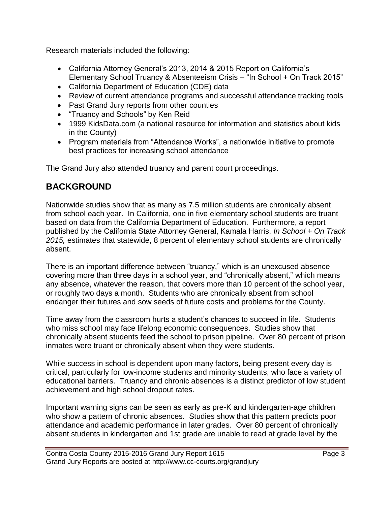Research materials included the following:

- California Attorney General's 2013, 2014 & 2015 Report on California's Elementary School Truancy & Absenteeism Crisis – "In School + On Track 2015"
- California Department of Education (CDE) data
- Review of current attendance programs and successful attendance tracking tools
- Past Grand Jury reports from other counties
- "Truancy and Schools" by Ken Reid
- 1999 KidsData.com (a national resource for information and statistics about kids in the County)
- Program materials from "Attendance Works", a nationwide initiative to promote best practices for increasing school attendance

The Grand Jury also attended truancy and parent court proceedings.

# **BACKGROUND**

Nationwide studies show that as many as 7.5 million students are chronically absent from school each year. In California, one in five elementary school students are truant based on data from the California Department of Education. Furthermore, a report published by the California State Attorney General, Kamala Harris, *In School + On Track 2015,* estimates that statewide, 8 percent of elementary school students are chronically absent.

There is an important difference between "truancy," which is an unexcused absence covering more than three days in a school year, and "chronically absent," which means any absence, whatever the reason, that covers more than 10 percent of the school year, or roughly two days a month. Students who are chronically absent from school endanger their futures and sow seeds of future costs and problems for the County.

Time away from the classroom hurts a student's chances to succeed in life. Students who miss school may face lifelong economic consequences. Studies show that chronically absent students feed the school to prison pipeline. Over 80 percent of prison inmates were truant or chronically absent when they were students.

While success in school is dependent upon many factors, being present every day is critical, particularly for low-income students and minority students, who face a variety of educational barriers. Truancy and chronic absences is a distinct predictor of low student achievement and high school dropout rates.

Important warning signs can be seen as early as pre-K and kindergarten-age children who show a pattern of chronic absences. Studies show that this pattern predicts poor attendance and academic performance in later grades. Over 80 percent of chronically absent students in kindergarten and 1st grade are unable to read at grade level by the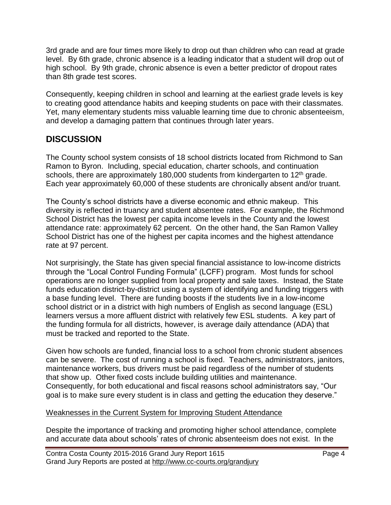3rd grade and are four times more likely to drop out than children who can read at grade level. By 6th grade, chronic absence is a leading indicator that a student will drop out of high school. By 9th grade, chronic absence is even a better predictor of dropout rates than 8th grade test scores.

Consequently, keeping children in school and learning at the earliest grade levels is key to creating good attendance habits and keeping students on pace with their classmates. Yet, many elementary students miss valuable learning time due to chronic absenteeism, and develop a damaging pattern that continues through later years.

## **DISCUSSION**

The County school system consists of 18 school districts located from Richmond to San Ramon to Byron. Including, special education, charter schools, and continuation schools, there are approximately 180,000 students from kindergarten to  $12<sup>th</sup>$  grade. Each year approximately 60,000 of these students are chronically absent and/or truant.

The County's school districts have a diverse economic and ethnic makeup. This diversity is reflected in truancy and student absentee rates. For example, the Richmond School District has the lowest per capita income levels in the County and the lowest attendance rate: approximately 62 percent. On the other hand, the San Ramon Valley School District has one of the highest per capita incomes and the highest attendance rate at 97 percent.

Not surprisingly, the State has given special financial assistance to low-income districts through the "Local Control Funding Formula" (LCFF) program. Most funds for school operations are no longer supplied from local property and sale taxes. Instead, the State funds education district-by-district using a system of identifying and funding triggers with a base funding level. There are funding boosts if the students live in a low-income school district or in a district with high numbers of English as second language (ESL) learners versus a more affluent district with relatively few ESL students. A key part of the funding formula for all districts, however, is average daily attendance (ADA) that must be tracked and reported to the State.

Given how schools are funded, financial loss to a school from chronic student absences can be severe. The cost of running a school is fixed. Teachers, administrators, janitors, maintenance workers, bus drivers must be paid regardless of the number of students that show up. Other fixed costs include building utilities and maintenance. Consequently, for both educational and fiscal reasons school administrators say, "Our goal is to make sure every student is in class and getting the education they deserve."

#### Weaknesses in the Current System for Improving Student Attendance

Despite the importance of tracking and promoting higher school attendance, complete and accurate data about schools' rates of chronic absenteeism does not exist. In the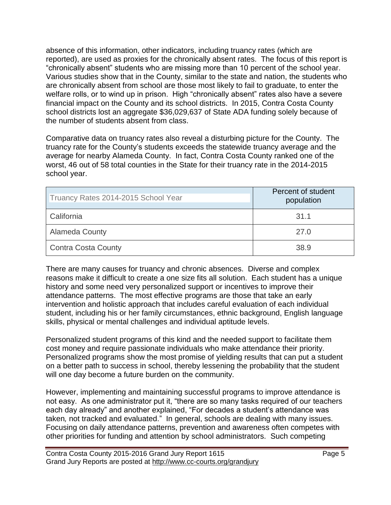absence of this information, other indicators, including truancy rates (which are reported), are used as proxies for the chronically absent rates. The focus of this report is "chronically absent" students who are missing more than 10 percent of the school year. Various studies show that in the County, similar to the state and nation, the students who are chronically absent from school are those most likely to fail to graduate, to enter the welfare rolls, or to wind up in prison. High "chronically absent" rates also have a severe financial impact on the County and its school districts. In 2015, Contra Costa County school districts lost an aggregate \$36,029,637 of State ADA funding solely because of the number of students absent from class.

Comparative data on truancy rates also reveal a disturbing picture for the County. The truancy rate for the County's students exceeds the statewide truancy average and the average for nearby Alameda County. In fact, Contra Costa County ranked one of the worst, 46 out of 58 total counties in the State for their truancy rate in the 2014-2015 school year.

| Truancy Rates 2014-2015 School Year | Percent of student<br>population |
|-------------------------------------|----------------------------------|
| California                          | 31.1                             |
| <b>Alameda County</b>               | 27.0                             |
| <b>Contra Costa County</b>          | 38.9                             |

There are many causes for truancy and chronic absences. Diverse and complex reasons make it difficult to create a one size fits all solution. Each student has a unique history and some need very personalized support or incentives to improve their attendance patterns. The most effective programs are those that take an early intervention and holistic approach that includes careful evaluation of each individual student, including his or her family circumstances, ethnic background, English language skills, physical or mental challenges and individual aptitude levels.

Personalized student programs of this kind and the needed support to facilitate them cost money and require passionate individuals who make attendance their priority. Personalized programs show the most promise of yielding results that can put a student on a better path to success in school, thereby lessening the probability that the student will one day become a future burden on the community.

However, implementing and maintaining successful programs to improve attendance is not easy. As one administrator put it, "there are so many tasks required of our teachers each day already" and another explained, "For decades a student's attendance was taken*,* not tracked and evaluated." In general, schools are dealing with many issues. Focusing on daily attendance patterns, prevention and awareness often competes with other priorities for funding and attention by school administrators. Such competing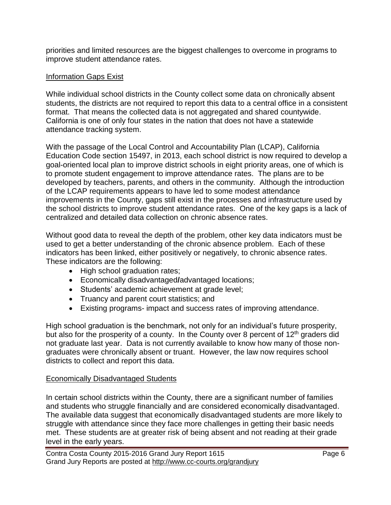priorities and limited resources are the biggest challenges to overcome in programs to improve student attendance rates.

#### Information Gaps Exist

While individual school districts in the County collect some data on chronically absent students, the districts are not required to report this data to a central office in a consistent format. That means the collected data is not aggregated and shared countywide. California is one of only four states in the nation that does not have a statewide attendance tracking system.

With the passage of the Local Control and Accountability Plan (LCAP), California Education Code section 15497, in 2013, each school district is now required to develop a goal-oriented local plan to improve district schools in eight priority areas, one of which is to promote student engagement to improve attendance rates. The plans are to be developed by teachers, parents, and others in the community. Although the introduction of the LCAP requirements appears to have led to some modest attendance improvements in the County, gaps still exist in the processes and infrastructure used by the school districts to improve student attendance rates. One of the key gaps is a lack of centralized and detailed data collection on chronic absence rates.

Without good data to reveal the depth of the problem, other key data indicators must be used to get a better understanding of the chronic absence problem. Each of these indicators has been linked, either positively or negatively, to chronic absence rates. These indicators are the following:

- High school graduation rates;
- Economically disadvantaged**/**advantaged locations;
- Students' academic achievement at grade level;
- Truancy and parent court statistics; and
- Existing programs- impact and success rates of improving attendance.

High school graduation is the benchmark, not only for an individual's future prosperity, but also for the prosperity of a county. In the County over 8 percent of  $12<sup>th</sup>$  graders did not graduate last year. Data is not currently available to know how many of those nongraduates were chronically absent or truant. However, the law now requires school districts to collect and report this data.

#### Economically Disadvantaged Students

In certain school districts within the County, there are a significant number of families and students who struggle financially and are considered economically disadvantaged. The available data suggest that economically disadvantaged students are more likely to struggle with attendance since they face more challenges in getting their basic needs met. These students are at greater risk of being absent and not reading at their grade level in the early years.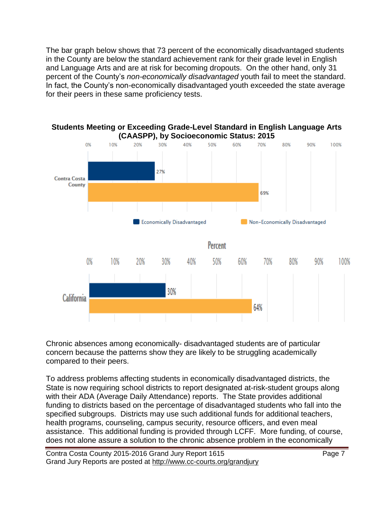The bar graph below shows that 73 percent of the economically disadvantaged students in the County are below the standard achievement rank for their grade level in English and Language Arts and are at risk for becoming dropouts. On the other hand, only 31 percent of the County's *non-economically disadvantaged* youth fail to meet the standard. In fact, the County's non-economically disadvantaged youth exceeded the state average for their peers in these same proficiency tests.



Chronic absences among economically- disadvantaged students are of particular concern because the patterns show they are likely to be struggling academically compared to their peers.

To address problems affecting students in economically disadvantaged districts, the State is now requiring school districts to report designated at-risk-student groups along with their ADA (Average Daily Attendance) reports. The State provides additional funding to districts based on the percentage of disadvantaged students who fall into the specified subgroups. Districts may use such additional funds for additional teachers, health programs, counseling, campus security, resource officers, and even meal assistance. This additional funding is provided through LCFF. More funding, of course, does not alone assure a solution to the chronic absence problem in the economically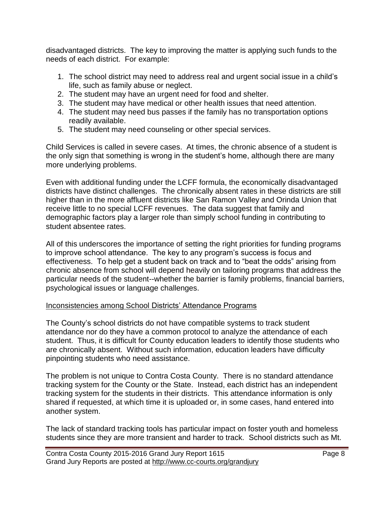disadvantaged districts. The key to improving the matter is applying such funds to the needs of each district. For example:

- 1. The school district may need to address real and urgent social issue in a child's life, such as family abuse or neglect.
- 2. The student may have an urgent need for food and shelter.
- 3. The student may have medical or other health issues that need attention.
- 4. The student may need bus passes if the family has no transportation options readily available.
- 5. The student may need counseling or other special services.

Child Services is called in severe cases. At times, the chronic absence of a student is the only sign that something is wrong in the student's home, although there are many more underlying problems.

Even with additional funding under the LCFF formula, the economically disadvantaged districts have distinct challenges. The chronically absent rates in these districts are still higher than in the more affluent districts like San Ramon Valley and Orinda Union that receive little to no special LCFF revenues. The data suggest that family and demographic factors play a larger role than simply school funding in contributing to student absentee rates.

All of this underscores the importance of setting the right priorities for funding programs to improve school attendance. The key to any program's success is focus and effectiveness. To help get a student back on track and to "beat the odds" arising from chronic absence from school will depend heavily on tailoring programs that address the particular needs of the student--whether the barrier is family problems, financial barriers, psychological issues or language challenges.

#### Inconsistencies among School Districts' Attendance Programs

The County's school districts do not have compatible systems to track student attendance nor do they have a common protocol to analyze the attendance of each student. Thus, it is difficult for County education leaders to identify those students who are chronically absent. Without such information, education leaders have difficulty pinpointing students who need assistance.

The problem is not unique to Contra Costa County. There is no standard attendance tracking system for the County or the State. Instead, each district has an independent tracking system for the students in their districts. This attendance information is only shared if requested, at which time it is uploaded or, in some cases, hand entered into another system.

The lack of standard tracking tools has particular impact on foster youth and homeless students since they are more transient and harder to track. School districts such as Mt.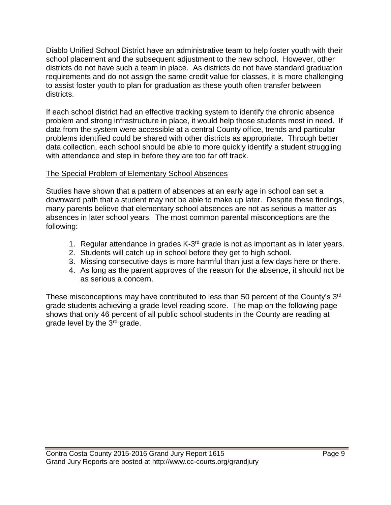Diablo Unified School District have an administrative team to help foster youth with their school placement and the subsequent adjustment to the new school. However, other districts do not have such a team in place. As districts do not have standard graduation requirements and do not assign the same credit value for classes, it is more challenging to assist foster youth to plan for graduation as these youth often transfer between districts.

If each school district had an effective tracking system to identify the chronic absence problem and strong infrastructure in place, it would help those students most in need. If data from the system were accessible at a central County office, trends and particular problems identified could be shared with other districts as appropriate. Through better data collection, each school should be able to more quickly identify a student struggling with attendance and step in before they are too far off track.

#### The Special Problem of Elementary School Absences

Studies have shown that a pattern of absences at an early age in school can set a downward path that a student may not be able to make up later. Despite these findings, many parents believe that elementary school absences are not as serious a matter as absences in later school years. The most common parental misconceptions are the following:

- 1. Regular attendance in grades K-3<sup>rd</sup> grade is not as important as in later years.
- 2. Students will catch up in school before they get to high school.
- 3. Missing consecutive days is more harmful than just a few days here or there.
- 4. As long as the parent approves of the reason for the absence, it should not be as serious a concern.

These misconceptions may have contributed to less than 50 percent of the County's 3<sup>rd</sup> grade students achieving a grade-level reading score. The map on the following page shows that only 46 percent of all public school students in the County are reading at grade level by the 3rd grade.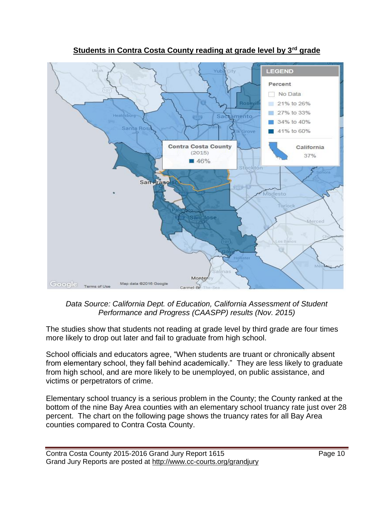

**Students in Contra Costa County reading at grade level by 3rd grade**

*Data Source: California Dept. of Education, California Assessment of Student Performance and Progress (CAASPP) results (Nov. 2015)*

The studies show that students not reading at grade level by third grade are four times more likely to drop out later and fail to graduate from high school.

School officials and educators agree, "When students are truant or chronically absent from elementary school, they fall behind academically." They are less likely to graduate from high school, and are more likely to be unemployed, on public assistance, and victims or perpetrators of crime.

Elementary school truancy is a serious problem in the County; the County ranked at the bottom of the nine Bay Area counties with an elementary school truancy rate just over 28 percent. The chart on the following page shows the truancy rates for all Bay Area counties compared to Contra Costa County.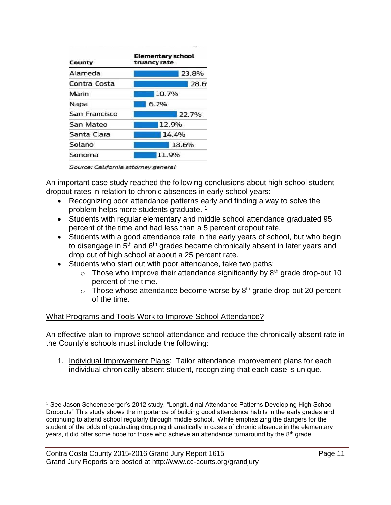| County        | <b>Elementary school</b><br>truancy rate |       |  |
|---------------|------------------------------------------|-------|--|
| Alameda       |                                          | 23.8% |  |
| Contra Costa  |                                          | 28.6  |  |
| Marin         | 10.7%                                    |       |  |
| Napa          | 6.2%                                     |       |  |
| San Francisco |                                          | 22.7% |  |
| San Mateo     |                                          | 12.9% |  |
| Santa Clara   |                                          | 14.4% |  |
| Solano        |                                          | 18.6% |  |
| Sonoma        |                                          | 11.9% |  |

Source: California attorney general

 $\overline{a}$ 

An important case study reached the following conclusions about high school student dropout rates in relation to chronic absences in early school years:

- Recognizing poor attendance patterns early and finding a way to solve the problem helps more students graduate.<sup>1</sup>
- Students with regular elementary and middle school attendance graduated 95 percent of the time and had less than a 5 percent dropout rate.
- Students with a good attendance rate in the early years of school, but who begin to disengage in 5<sup>th</sup> and 6<sup>th</sup> grades became chronically absent in later years and drop out of high school at about a 25 percent rate.
- Students who start out with poor attendance, take two paths:
	- $\circ$  Those who improve their attendance significantly by 8<sup>th</sup> grade drop-out 10 percent of the time.
	- $\circ$  Those whose attendance become worse by 8<sup>th</sup> grade drop-out 20 percent of the time.

#### What Programs and Tools Work to Improve School Attendance?

An effective plan to improve school attendance and reduce the chronically absent rate in the County's schools must include the following:

1. Individual Improvement Plans: Tailor attendance improvement plans for each individual chronically absent student, recognizing that each case is unique.

 $<sup>1</sup>$  See Jason Schoeneberger's 2012 study, "Longitudinal Attendance Patterns Developing High School</sup> Dropouts" This study shows the importance of building good attendance habits in the early grades and continuing to attend school regularly through middle school. While emphasizing the dangers for the student of the odds of graduating dropping dramatically in cases of chronic absence in the elementary years, it did offer some hope for those who achieve an attendance turnaround by the 8<sup>th</sup> grade.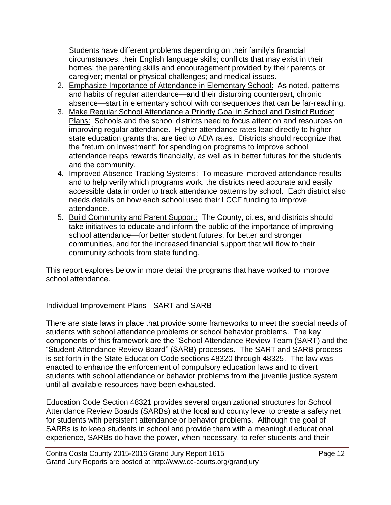Students have different problems depending on their family's financial circumstances; their English language skills; conflicts that may exist in their homes; the parenting skills and encouragement provided by their parents or caregiver; mental or physical challenges; and medical issues.

- 2. Emphasize Importance of Attendance in Elementary School: As noted, patterns and habits of regular attendance—and their disturbing counterpart, chronic absence—start in elementary school with consequences that can be far-reaching.
- 3. Make Regular School Attendance a Priority Goal in School and District Budget Plans: Schools and the school districts need to focus attention and resources on improving regular attendance. Higher attendance rates lead directly to higher state education grants that are tied to ADA rates. Districts should recognize that the "return on investment" for spending on programs to improve school attendance reaps rewards financially, as well as in better futures for the students and the community.
- 4. Improved Absence Tracking Systems: To measure improved attendance results and to help verify which programs work, the districts need accurate and easily accessible data in order to track attendance patterns by school. Each district also needs details on how each school used their LCCF funding to improve attendance.
- 5. Build Community and Parent Support: The County, cities, and districts should take initiatives to educate and inform the public of the importance of improving school attendance—for better student futures, for better and stronger communities, and for the increased financial support that will flow to their community schools from state funding.

This report explores below in more detail the programs that have worked to improve school attendance.

#### Individual Improvement Plans - SART and SARB

There are state laws in place that provide some frameworks to meet the special needs of students with school attendance problems or school behavior problems. The key components of this framework are the "School Attendance Review Team (SART) and the "Student Attendance Review Board" (SARB) processes. The SART and SARB process is set forth in the State Education Code sections 48320 through 48325. The law was enacted to enhance the enforcement of compulsory education laws and to divert students with school attendance or behavior problems from the juvenile justice system until all available resources have been exhausted.

Education Code Section 48321 provides several organizational structures for School Attendance Review Boards (SARBs) at the local and county level to create a safety net for students with persistent attendance or behavior problems. Although the goal of SARBs is to keep students in school and provide them with a meaningful educational experience, SARBs do have the power, when necessary, to refer students and their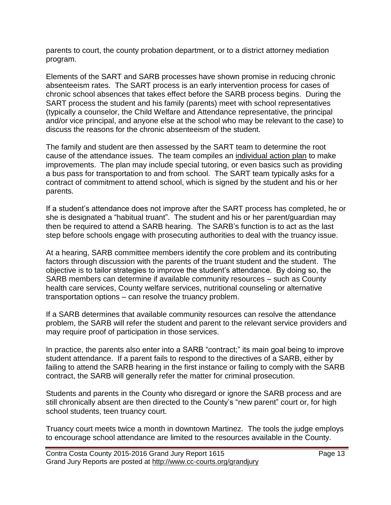parents to court, the county probation department, or to a district attorney mediation program.

Elements of the SART and SARB processes have shown promise in reducing chronic absenteeism rates. The SART process is an early intervention process for cases of chronic school absences that takes effect before the SARB process begins. During the SART process the student and his family (parents) meet with school representatives (typically a counselor, the Child Welfare and Attendance representative, the principal and/or vice principal, and anyone else at the school who may be relevant to the case) to discuss the reasons for the chronic absenteeism of the student.

The family and student are then assessed by the SART team to determine the root cause of the attendance issues. The team compiles an individual action plan to make improvements. The plan may include special tutoring, or even basics such as providing a bus pass for transportation to and from school. The SART team typically asks for a contract of commitment to attend school, which is signed by the student and his or her parents.

If a student's attendance does not improve after the SART process has completed, he or she is designated a "habitual truant". The student and his or her parent/guardian may then be required to attend a SARB hearing. The SARB's function is to act as the last step before schools engage with prosecuting authorities to deal with the truancy issue.

At a hearing, SARB committee members identify the core problem and its contributing factors through discussion with the parents of the truant student and the student. The objective is to tailor strategies to improve the student's attendance. By doing so, the SARB members can determine if available community resources – such as County health care services, County welfare services, nutritional counseling or alternative transportation options – can resolve the truancy problem.

If a SARB determines that available community resources can resolve the attendance problem, the SARB will refer the student and parent to the relevant service providers and may require proof of participation in those services.

In practice, the parents also enter into a SARB "contract;" its main goal being to improve student attendance. If a parent fails to respond to the directives of a SARB, either by failing to attend the SARB hearing in the first instance or failing to comply with the SARB contract, the SARB will generally refer the matter for criminal prosecution.

Students and parents in the County who disregard or ignore the SARB process and are still chronically absent are then directed to the County's "new parent" court or, for high school students, teen truancy court.

Truancy court meets twice a month in downtown Martinez. The tools the judge employs to encourage school attendance are limited to the resources available in the County.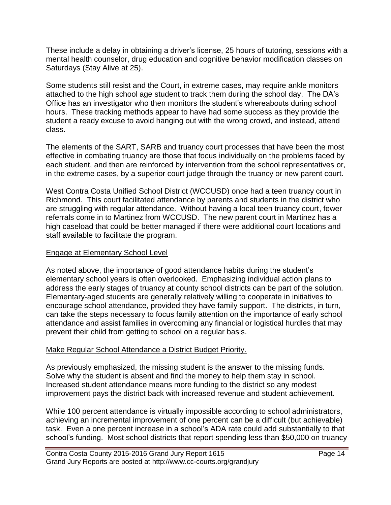These include a delay in obtaining a driver's license, 25 hours of tutoring, sessions with a mental health counselor, drug education and cognitive behavior modification classes on Saturdays (Stay Alive at 25).

Some students still resist and the Court, in extreme cases, may require ankle monitors attached to the high school age student to track them during the school day. The DA's Office has an investigator who then monitors the student's whereabouts during school hours. These tracking methods appear to have had some success as they provide the student a ready excuse to avoid hanging out with the wrong crowd, and instead, attend class.

The elements of the SART, SARB and truancy court processes that have been the most effective in combating truancy are those that focus individually on the problems faced by each student, and then are reinforced by intervention from the school representatives or, in the extreme cases, by a superior court judge through the truancy or new parent court.

West Contra Costa Unified School District (WCCUSD) once had a teen truancy court in Richmond. This court facilitated attendance by parents and students in the district who are struggling with regular attendance. Without having a local teen truancy court, fewer referrals come in to Martinez from WCCUSD. The new parent court in Martinez has a high caseload that could be better managed if there were additional court locations and staff available to facilitate the program.

#### Engage at Elementary School Level

As noted above, the importance of good attendance habits during the student's elementary school years is often overlooked. Emphasizing individual action plans to address the early stages of truancy at county school districts can be part of the solution. Elementary-aged students are generally relatively willing to cooperate in initiatives to encourage school attendance, provided they have family support. The districts, in turn, can take the steps necessary to focus family attention on the importance of early school attendance and assist families in overcoming any financial or logistical hurdles that may prevent their child from getting to school on a regular basis.

#### Make Regular School Attendance a District Budget Priority.

As previously emphasized, the missing student is the answer to the missing funds. Solve why the student is absent and find the money to help them stay in school. Increased student attendance means more funding to the district so any modest improvement pays the district back with increased revenue and student achievement.

While 100 percent attendance is virtually impossible according to school administrators, achieving an incremental improvement of one percent can be a difficult (but achievable) task. Even a one percent increase in a school's ADA rate could add substantially to that school's funding. Most school districts that report spending less than \$50,000 on truancy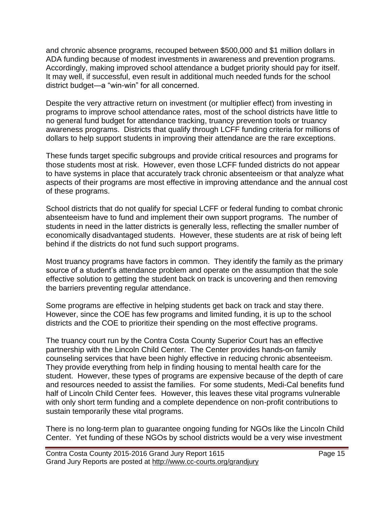and chronic absence programs, recouped between \$500,000 and \$1 million dollars in ADA funding because of modest investments in awareness and prevention programs. Accordingly, making improved school attendance a budget priority should pay for itself. It may well, if successful, even result in additional much needed funds for the school district budget—a "win-win" for all concerned.

Despite the very attractive return on investment (or multiplier effect) from investing in programs to improve school attendance rates, most of the school districts have little to no general fund budget for attendance tracking, truancy prevention tools or truancy awareness programs. Districts that qualify through LCFF funding criteria for millions of dollars to help support students in improving their attendance are the rare exceptions.

These funds target specific subgroups and provide critical resources and programs for those students most at risk. However, even those LCFF funded districts do not appear to have systems in place that accurately track chronic absenteeism or that analyze what aspects of their programs are most effective in improving attendance and the annual cost of these programs.

School districts that do not qualify for special LCFF or federal funding to combat chronic absenteeism have to fund and implement their own support programs. The number of students in need in the latter districts is generally less, reflecting the smaller number of economically disadvantaged students. However, these students are at risk of being left behind if the districts do not fund such support programs.

Most truancy programs have factors in common. They identify the family as the primary source of a student's attendance problem and operate on the assumption that the sole effective solution to getting the student back on track is uncovering and then removing the barriers preventing regular attendance.

Some programs are effective in helping students get back on track and stay there. However, since the COE has few programs and limited funding, it is up to the school districts and the COE to prioritize their spending on the most effective programs.

The truancy court run by the Contra Costa County Superior Court has an effective partnership with the Lincoln Child Center. The Center provides hands-on family counseling services that have been highly effective in reducing chronic absenteeism. They provide everything from help in finding housing to mental health care for the student. However, these types of programs are expensive because of the depth of care and resources needed to assist the families. For some students, Medi-Cal benefits fund half of Lincoln Child Center fees. However, this leaves these vital programs vulnerable with only short term funding and a complete dependence on non-profit contributions to sustain temporarily these vital programs.

There is no long-term plan to guarantee ongoing funding for NGOs like the Lincoln Child Center. Yet funding of these NGOs by school districts would be a very wise investment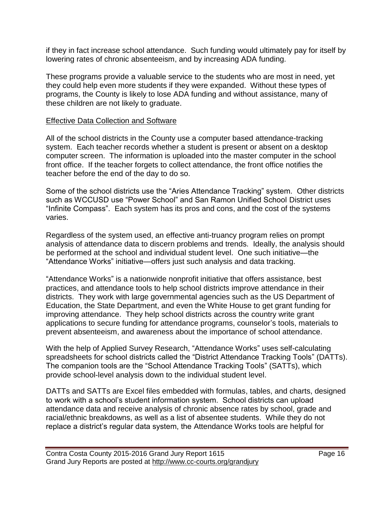if they in fact increase school attendance. Such funding would ultimately pay for itself by lowering rates of chronic absenteeism, and by increasing ADA funding.

These programs provide a valuable service to the students who are most in need, yet they could help even more students if they were expanded. Without these types of programs, the County is likely to lose ADA funding and without assistance, many of these children are not likely to graduate.

#### Effective Data Collection and Software

All of the school districts in the County use a computer based attendance-tracking system. Each teacher records whether a student is present or absent on a desktop computer screen. The information is uploaded into the master computer in the school front office. If the teacher forgets to collect attendance, the front office notifies the teacher before the end of the day to do so.

Some of the school districts use the "Aries Attendance Tracking" system. Other districts such as WCCUSD use "Power School" and San Ramon Unified School District uses "Infinite Compass". Each system has its pros and cons, and the cost of the systems varies.

Regardless of the system used, an effective anti-truancy program relies on prompt analysis of attendance data to discern problems and trends. Ideally, the analysis should be performed at the school and individual student level. One such initiative—the "Attendance Works" initiative—offers just such analysis and data tracking.

"Attendance Works" is a nationwide nonprofit initiative that offers assistance, best practices, and attendance tools to help school districts improve attendance in their districts. They work with large governmental agencies such as the US Department of Education, the State Department, and even the White House to get grant funding for improving attendance. They help school districts across the country write grant applications to secure funding for attendance programs, counselor's tools, materials to prevent absenteeism, and awareness about the importance of school attendance.

With the help of Applied Survey Research, "Attendance Works" uses self-calculating spreadsheets for school districts called the "District Attendance Tracking Tools" (DATTs). The companion tools are the "School Attendance Tracking Tools" (SATTs), which provide school-level analysis down to the individual student level.

DATTs and SATTs are Excel files embedded with formulas, tables, and charts, designed to work with a school's student information system. School districts can upload attendance data and receive analysis of chronic absence rates by school, grade and racial/ethnic breakdowns, as well as a list of absentee students. While they do not replace a district's regular data system, the Attendance Works tools are helpful for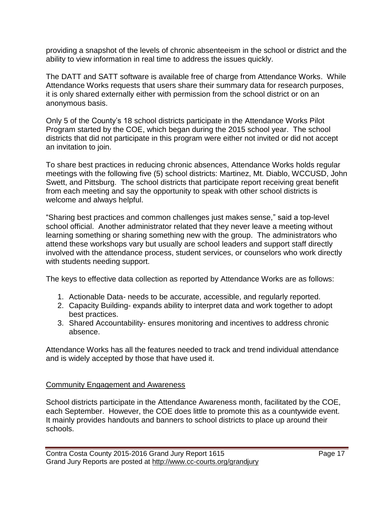providing a snapshot of the levels of chronic absenteeism in the school or district and the ability to view information in real time to address the issues quickly.

The DATT and SATT software is available free of charge from Attendance Works. While Attendance Works requests that users share their summary data for research purposes, it is only shared externally either with permission from the school district or on an anonymous basis.

Only 5 of the County's 18 school districts participate in the Attendance Works Pilot Program started by the COE, which began during the 2015 school year. The school districts that did not participate in this program were either not invited or did not accept an invitation to join.

To share best practices in reducing chronic absences, Attendance Works holds regular meetings with the following five (5) school districts: Martinez, Mt. Diablo, WCCUSD, John Swett, and Pittsburg. The school districts that participate report receiving great benefit from each meeting and say the opportunity to speak with other school districts is welcome and always helpful.

"Sharing best practices and common challenges just makes sense," said a top-level school official. Another administrator related that they never leave a meeting without learning something or sharing something new with the group. The administrators who attend these workshops vary but usually are school leaders and support staff directly involved with the attendance process, student services, or counselors who work directly with students needing support.

The keys to effective data collection as reported by Attendance Works are as follows:

- 1. Actionable Data- needs to be accurate, accessible, and regularly reported.
- 2. Capacity Building- expands ability to interpret data and work together to adopt best practices.
- 3. Shared Accountability- ensures monitoring and incentives to address chronic absence.

Attendance Works has all the features needed to track and trend individual attendance and is widely accepted by those that have used it.

#### Community Engagement and Awareness

School districts participate in the Attendance Awareness month, facilitated by the COE, each September. However, the COE does little to promote this as a countywide event. It mainly provides handouts and banners to school districts to place up around their schools.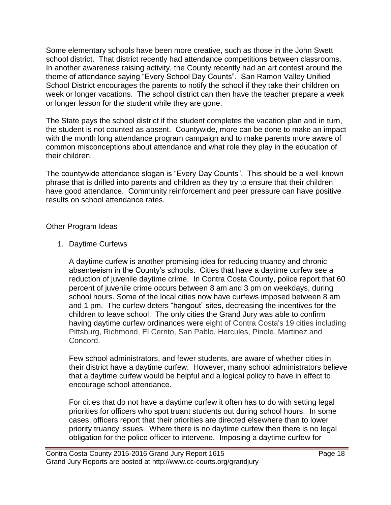Some elementary schools have been more creative, such as those in the John Swett school district. That district recently had attendance competitions between classrooms. In another awareness raising activity, the County recently had an art contest around the theme of attendance saying "Every School Day Counts". San Ramon Valley Unified School District encourages the parents to notify the school if they take their children on week or longer vacations. The school district can then have the teacher prepare a week or longer lesson for the student while they are gone.

The State pays the school district if the student completes the vacation plan and in turn, the student is not counted as absent. Countywide, more can be done to make an impact with the month long attendance program campaign and to make parents more aware of common misconceptions about attendance and what role they play in the education of their children.

The countywide attendance slogan is "Every Day Counts". This should be a well-known phrase that is drilled into parents and children as they try to ensure that their children have good attendance. Community reinforcement and peer pressure can have positive results on school attendance rates.

#### Other Program Ideas

1. Daytime Curfews

A daytime curfew is another promising idea for reducing truancy and chronic absenteeism in the County's schools. Cities that have a daytime curfew see a reduction of juvenile daytime crime. In Contra Costa County, police report that 60 percent of juvenile crime occurs between 8 am and 3 pm on weekdays, during school hours. Some of the local cities now have curfews imposed between 8 am and 1 pm. The curfew deters "hangout" sites, decreasing the incentives for the children to leave school. The only cities the Grand Jury was able to confirm having daytime curfew ordinances were eight of Contra Costa's 19 cities including Pittsburg, Richmond, El Cerrito, San Pablo, Hercules, Pinole, Martinez and Concord.

Few school administrators, and fewer students, are aware of whether cities in their district have a daytime curfew. However, many school administrators believe that a daytime curfew would be helpful and a logical policy to have in effect to encourage school attendance.

For cities that do not have a daytime curfew it often has to do with setting legal priorities for officers who spot truant students out during school hours. In some cases, officers report that their priorities are directed elsewhere than to lower priority truancy issues. Where there is no daytime curfew then there is no legal obligation for the police officer to intervene. Imposing a daytime curfew for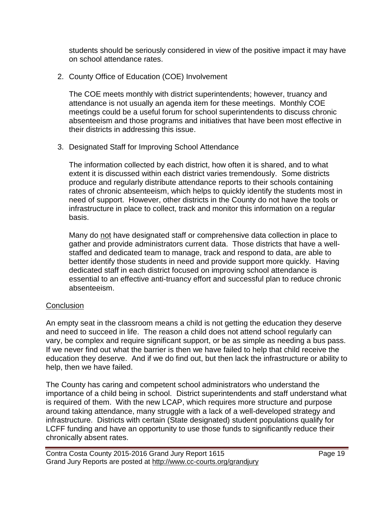students should be seriously considered in view of the positive impact it may have on school attendance rates.

2. County Office of Education (COE) Involvement

The COE meets monthly with district superintendents; however, truancy and attendance is not usually an agenda item for these meetings. Monthly COE meetings could be a useful forum for school superintendents to discuss chronic absenteeism and those programs and initiatives that have been most effective in their districts in addressing this issue.

3. Designated Staff for Improving School Attendance

The information collected by each district, how often it is shared, and to what extent it is discussed within each district varies tremendously. Some districts produce and regularly distribute attendance reports to their schools containing rates of chronic absenteeism, which helps to quickly identify the students most in need of support. However, other districts in the County do not have the tools or infrastructure in place to collect, track and monitor this information on a regular basis.

Many do not have designated staff or comprehensive data collection in place to gather and provide administrators current data. Those districts that have a wellstaffed and dedicated team to manage, track and respond to data, are able to better identify those students in need and provide support more quickly. Having dedicated staff in each district focused on improving school attendance is essential to an effective anti-truancy effort and successful plan to reduce chronic absenteeism.

#### **Conclusion**

An empty seat in the classroom means a child is not getting the education they deserve and need to succeed in life. The reason a child does not attend school regularly can vary, be complex and require significant support, or be as simple as needing a bus pass. If we never find out what the barrier is then we have failed to help that child receive the education they deserve. And if we do find out, but then lack the infrastructure or ability to help, then we have failed.

The County has caring and competent school administrators who understand the importance of a child being in school. District superintendents and staff understand what is required of them. With the new LCAP, which requires more structure and purpose around taking attendance, many struggle with a lack of a well-developed strategy and infrastructure. Districts with certain (State designated) student populations qualify for LCFF funding and have an opportunity to use those funds to significantly reduce their chronically absent rates.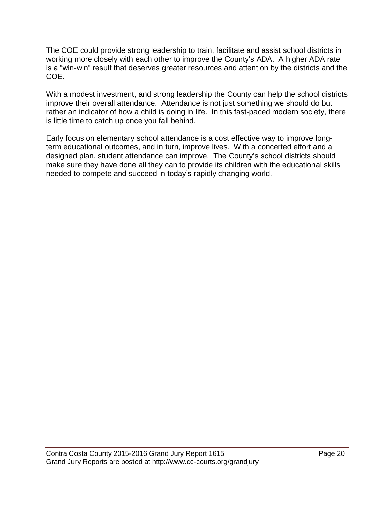The COE could provide strong leadership to train, facilitate and assist school districts in working more closely with each other to improve the County's ADA. A higher ADA rate is a "win-win" result that deserves greater resources and attention by the districts and the COE.

With a modest investment, and strong leadership the County can help the school districts improve their overall attendance. Attendance is not just something we should do but rather an indicator of how a child is doing in life. In this fast-paced modern society, there is little time to catch up once you fall behind.

Early focus on elementary school attendance is a cost effective way to improve longterm educational outcomes, and in turn, improve lives. With a concerted effort and a designed plan, student attendance can improve. The County's school districts should make sure they have done all they can to provide its children with the educational skills needed to compete and succeed in today's rapidly changing world.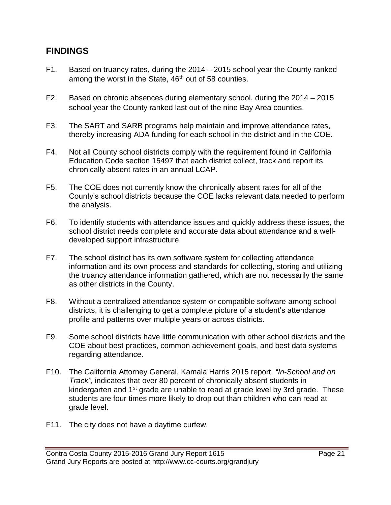## **FINDINGS**

- F1. Based on truancy rates, during the 2014 2015 school year the County ranked among the worst in the State, 46<sup>th</sup> out of 58 counties.
- F2. Based on chronic absences during elementary school, during the 2014 2015 school year the County ranked last out of the nine Bay Area counties.
- F3. The SART and SARB programs help maintain and improve attendance rates, thereby increasing ADA funding for each school in the district and in the COE.
- F4. Not all County school districts comply with the requirement found in California Education Code section 15497 that each district collect, track and report its chronically absent rates in an annual LCAP.
- F5. The COE does not currently know the chronically absent rates for all of the County's school districts because the COE lacks relevant data needed to perform the analysis.
- F6. To identify students with attendance issues and quickly address these issues, the school district needs complete and accurate data about attendance and a welldeveloped support infrastructure.
- F7. The school district has its own software system for collecting attendance information and its own process and standards for collecting, storing and utilizing the truancy attendance information gathered, which are not necessarily the same as other districts in the County.
- F8. Without a centralized attendance system or compatible software among school districts, it is challenging to get a complete picture of a student's attendance profile and patterns over multiple years or across districts.
- F9. Some school districts have little communication with other school districts and the COE about best practices, common achievement goals, and best data systems regarding attendance.
- F10. The California Attorney General, Kamala Harris 2015 report, *"In-School and on Track"*, indicates that over 80 percent of chronically absent students in kindergarten and  $1<sup>st</sup>$  grade are unable to read at grade level by 3rd grade. These students are four times more likely to drop out than children who can read at grade level.
- F11. The city does not have a daytime curfew.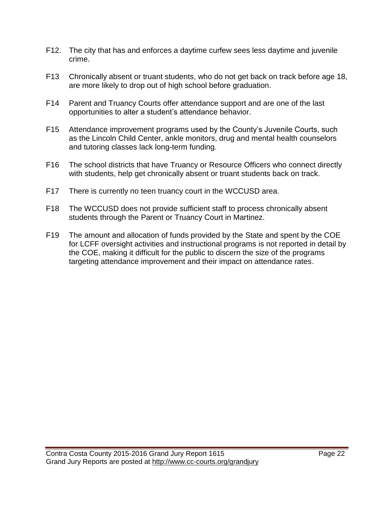- F12. The city that has and enforces a daytime curfew sees less daytime and juvenile crime.
- F13 Chronically absent or truant students, who do not get back on track before age 18, are more likely to drop out of high school before graduation.
- F14 Parent and Truancy Courts offer attendance support and are one of the last opportunities to alter a student's attendance behavior.
- F15 Attendance improvement programs used by the County's Juvenile Courts, such as the Lincoln Child Center, ankle monitors, drug and mental health counselors and tutoring classes lack long-term funding.
- F16 The school districts that have Truancy or Resource Officers who connect directly with students, help get chronically absent or truant students back on track.
- F17 There is currently no teen truancy court in the WCCUSD area.
- F18 The WCCUSD does not provide sufficient staff to process chronically absent students through the Parent or Truancy Court in Martinez.
- F19 The amount and allocation of funds provided by the State and spent by the COE for LCFF oversight activities and instructional programs is not reported in detail by the COE, making it difficult for the public to discern the size of the programs targeting attendance improvement and their impact on attendance rates.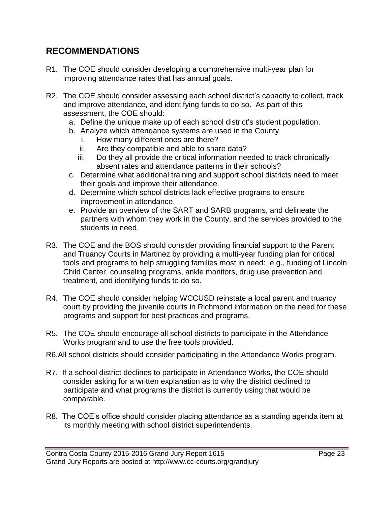## **RECOMMENDATIONS**

- R1. The COE should consider developing a comprehensive multi-year plan for improving attendance rates that has annual goals.
- R2. The COE should consider assessing each school district's capacity to collect, track and improve attendance, and identifying funds to do so. As part of this assessment, the COE should:
	- a. Define the unique make up of each school district's student population.
	- b. Analyze which attendance systems are used in the County.
		- i. How many different ones are there?
		- ii. Are they compatible and able to share data?
		- iii. Do they all provide the critical information needed to track chronically absent rates and attendance patterns in their schools?
	- c. Determine what additional training and support school districts need to meet their goals and improve their attendance.
	- d. Determine which school districts lack effective programs to ensure improvement in attendance.
	- e. Provide an overview of the SART and SARB programs, and delineate the partners with whom they work in the County, and the services provided to the students in need.
- R3. The COE and the BOS should consider providing financial support to the Parent and Truancy Courts in Martinez by providing a multi-year funding plan for critical tools and programs to help struggling families most in need: e.g., funding of Lincoln Child Center, counseling programs, ankle monitors, drug use prevention and treatment, and identifying funds to do so.
- R4. The COE should consider helping WCCUSD reinstate a local parent and truancy court by providing the juvenile courts in Richmond information on the need for these programs and support for best practices and programs.
- R5. The COE should encourage all school districts to participate in the Attendance Works program and to use the free tools provided.
- R6.All school districts should consider participating in the Attendance Works program.
- R7. If a school district declines to participate in Attendance Works, the COE should consider asking for a written explanation as to why the district declined to participate and what programs the district is currently using that would be comparable.
- R8. The COE's office should consider placing attendance as a standing agenda item at its monthly meeting with school district superintendents.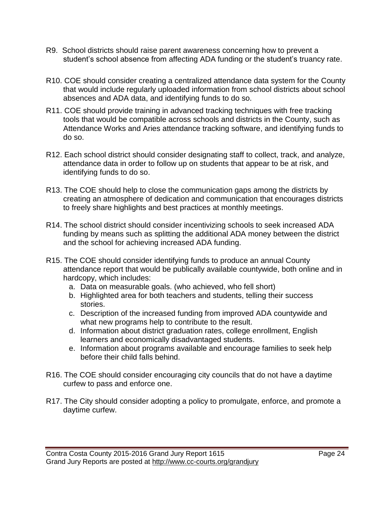- R9. School districts should raise parent awareness concerning how to prevent a student's school absence from affecting ADA funding or the student's truancy rate.
- R10. COE should consider creating a centralized attendance data system for the County that would include regularly uploaded information from school districts about school absences and ADA data, and identifying funds to do so.
- R11. COE should provide training in advanced tracking techniques with free tracking tools that would be compatible across schools and districts in the County, such as Attendance Works and Aries attendance tracking software, and identifying funds to do so.
- R12. Each school district should consider designating staff to collect, track, and analyze, attendance data in order to follow up on students that appear to be at risk, and identifying funds to do so.
- R13. The COE should help to close the communication gaps among the districts by creating an atmosphere of dedication and communication that encourages districts to freely share highlights and best practices at monthly meetings.
- R14. The school district should consider incentivizing schools to seek increased ADA funding by means such as splitting the additional ADA money between the district and the school for achieving increased ADA funding.
- R15. The COE should consider identifying funds to produce an annual County attendance report that would be publically available countywide, both online and in hardcopy, which includes:
	- a. Data on measurable goals. (who achieved, who fell short)
	- b. Highlighted area for both teachers and students, telling their success stories.
	- c. Description of the increased funding from improved ADA countywide and what new programs help to contribute to the result.
	- d. Information about district graduation rates, college enrollment, English learners and economically disadvantaged students.
	- e. Information about programs available and encourage families to seek help before their child falls behind.
- R16. The COE should consider encouraging city councils that do not have a daytime curfew to pass and enforce one.
- R17. The City should consider adopting a policy to promulgate, enforce, and promote a daytime curfew.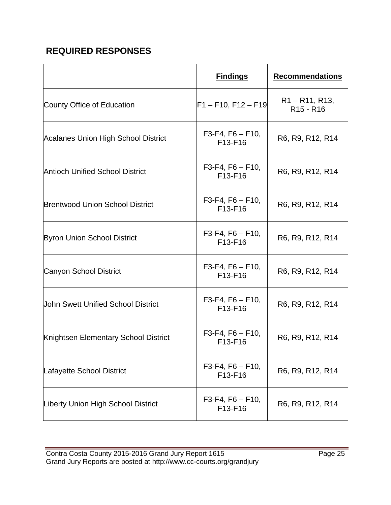## **REQUIRED RESPONSES**

|                                            | <b>Findings</b>               | <b>Recommendations</b>                                |
|--------------------------------------------|-------------------------------|-------------------------------------------------------|
| County Office of Education                 | $F1 - F10, F12 - F19$         | $R1 - R11, R13,$<br>R <sub>15</sub> - R <sub>16</sub> |
| <b>Acalanes Union High School District</b> | $F3-F4, F6 - F10,$<br>F13-F16 | R6, R9, R12, R14                                      |
| <b>Antioch Unified School District</b>     | $F3-F4, F6 - F10,$<br>F13-F16 | R6, R9, R12, R14                                      |
| <b>Brentwood Union School District</b>     | $F3-F4, F6 - F10,$<br>F13-F16 | R6, R9, R12, R14                                      |
| <b>Byron Union School District</b>         | $F3-F4, F6 - F10,$<br>F13-F16 | R6, R9, R12, R14                                      |
| <b>Canyon School District</b>              | $F3-F4, F6 - F10,$<br>F13-F16 | R6, R9, R12, R14                                      |
| <b>John Swett Unified School District</b>  | $F3-F4, F6 - F10,$<br>F13-F16 | R6, R9, R12, R14                                      |
| Knightsen Elementary School District       | $F3-F4, F6 - F10,$<br>F13-F16 | R6, R9, R12, R14                                      |
| Lafayette School District                  | $F3-F4, F6 - F10,$<br>F13-F16 | R6, R9, R12, R14                                      |
| Liberty Union High School District         | $F3-F4, F6 - F10,$<br>F13-F16 | R6, R9, R12, R14                                      |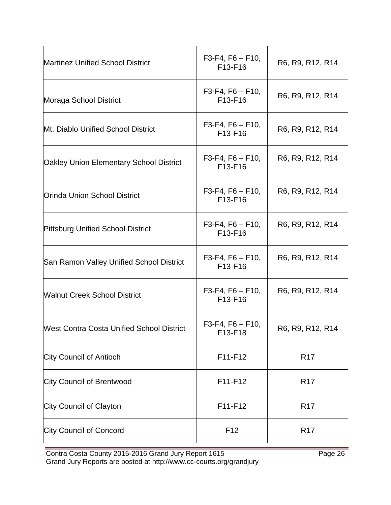| <b>Martinez Unified School District</b>          | $F3-F4, F6 - F10,$<br>F13-F16 | R6, R9, R12, R14 |
|--------------------------------------------------|-------------------------------|------------------|
| Moraga School District                           | $F3-F4, F6 - F10,$<br>F13-F16 | R6, R9, R12, R14 |
| Mt. Diablo Unified School District               | $F3-F4, F6 - F10,$<br>F13-F16 | R6, R9, R12, R14 |
| <b>Oakley Union Elementary School District</b>   | $F3-F4, F6 - F10,$<br>F13-F16 | R6, R9, R12, R14 |
| <b>Orinda Union School District</b>              | $F3-F4, F6 - F10,$<br>F13-F16 | R6, R9, R12, R14 |
| <b>Pittsburg Unified School District</b>         | $F3-F4, F6 - F10,$<br>F13-F16 | R6, R9, R12, R14 |
| San Ramon Valley Unified School District         | $F3-F4, F6 - F10,$<br>F13-F16 | R6, R9, R12, R14 |
| <b>Walnut Creek School District</b>              | $F3-F4, F6 - F10,$<br>F13-F16 | R6, R9, R12, R14 |
| <b>West Contra Costa Unified School District</b> | $F3-F4, F6 - F10,$<br>F13-F18 | R6, R9, R12, R14 |
| <b>City Council of Antioch</b>                   | F11-F12                       | R <sub>17</sub>  |
| <b>City Council of Brentwood</b>                 | F11-F12                       | R <sub>17</sub>  |
| City Council of Clayton                          | F11-F12                       | R <sub>17</sub>  |
| <b>City Council of Concord</b>                   | F <sub>12</sub>               | R <sub>17</sub>  |

Contra Costa County 2015-2016 Grand Jury Report 1615 **Page 26** Page 26 Grand Jury Reports are posted at http://www.cc-courts.org/grandjury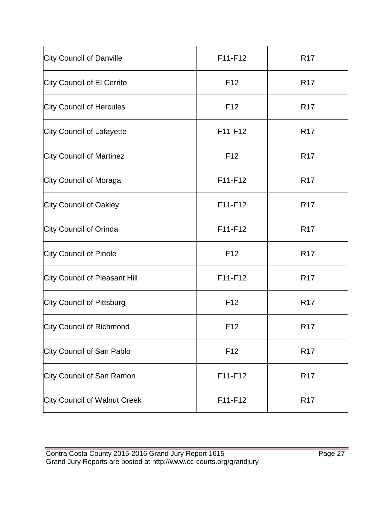| <b>City Council of Danville</b>  | F11-F12         | R <sub>17</sub> |
|----------------------------------|-----------------|-----------------|
| City Council of El Cerrito       | F <sub>12</sub> | R <sub>17</sub> |
| <b>City Council of Hercules</b>  | F <sub>12</sub> | R <sub>17</sub> |
| <b>City Council of Lafayette</b> | F11-F12         | R <sub>17</sub> |
| <b>City Council of Martinez</b>  | F <sub>12</sub> | R <sub>17</sub> |
| City Council of Moraga           | F11-F12         | R <sub>17</sub> |
| <b>City Council of Oakley</b>    | F11-F12         | R <sub>17</sub> |
| City Council of Orinda           | F11-F12         | <b>R17</b>      |
| City Council of Pinole           | F <sub>12</sub> | R <sub>17</sub> |
| City Council of Pleasant Hill    | F11-F12         | R <sub>17</sub> |
| City Council of Pittsburg        | F <sub>12</sub> | R <sub>17</sub> |
| <b>City Council of Richmond</b>  | F <sub>12</sub> | R <sub>17</sub> |
| City Council of San Pablo        | F <sub>12</sub> | R <sub>17</sub> |
| City Council of San Ramon        | F11-F12         | R <sub>17</sub> |
| City Council of Walnut Creek     | F11-F12         | R <sub>17</sub> |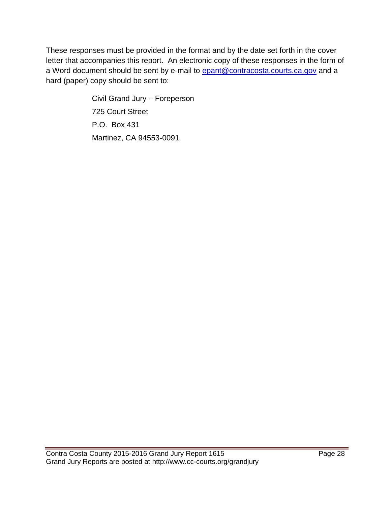These responses must be provided in the format and by the date set forth in the cover letter that accompanies this report. An electronic copy of these responses in the form of a Word document should be sent by e-mail to [epant@contracosta.courts.ca.gov](mailto:elisa@contracosta.courts.ca.gov) and a hard (paper) copy should be sent to:

> Civil Grand Jury – Foreperson 725 Court Street P.O. Box 431 Martinez, CA 94553-0091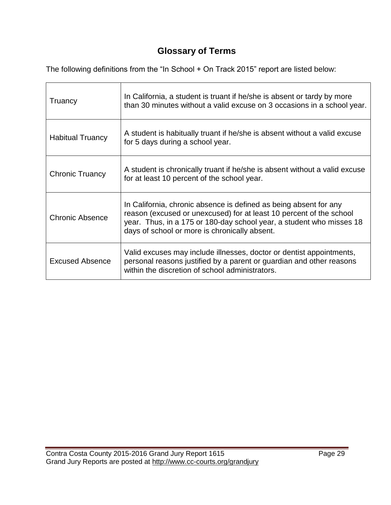## **Glossary of Terms**

The following definitions from the "In School + On Track 2015" report are listed below:

| Truancy                 | In California, a student is truant if he/she is absent or tardy by more<br>than 30 minutes without a valid excuse on 3 occasions in a school year.                                                                                                                |
|-------------------------|-------------------------------------------------------------------------------------------------------------------------------------------------------------------------------------------------------------------------------------------------------------------|
| <b>Habitual Truancy</b> | A student is habitually truant if he/she is absent without a valid excuse<br>for 5 days during a school year.                                                                                                                                                     |
| <b>Chronic Truancy</b>  | A student is chronically truant if he/she is absent without a valid excuse<br>for at least 10 percent of the school year.                                                                                                                                         |
| <b>Chronic Absence</b>  | In California, chronic absence is defined as being absent for any<br>reason (excused or unexcused) for at least 10 percent of the school<br>year. Thus, in a 175 or 180-day school year, a student who misses 18<br>days of school or more is chronically absent. |
| <b>Excused Absence</b>  | Valid excuses may include illnesses, doctor or dentist appointments,<br>personal reasons justified by a parent or guardian and other reasons<br>within the discretion of school administrators.                                                                   |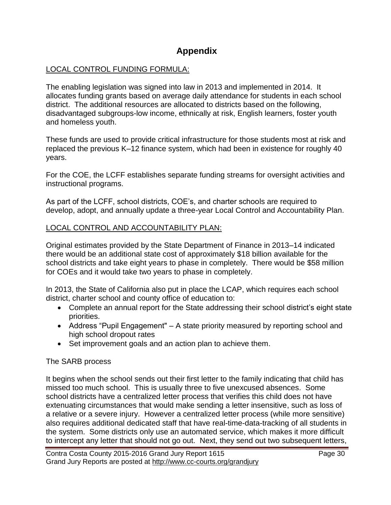## **Appendix**

#### LOCAL CONTROL FUNDING FORMULA:

The enabling legislation was signed into law in 2013 and implemented in 2014. It allocates funding grants based on average daily attendance for students in each school district. The additional resources are allocated to districts based on the following, disadvantaged subgroups-low income, ethnically at risk, English learners, foster youth and homeless youth.

These funds are used to provide critical infrastructure for those students most at risk and replaced the previous K–12 finance system, which had been in existence for roughly 40 years.

For the COE, the LCFF establishes separate funding streams for oversight activities and instructional programs.

As part of the LCFF, school districts, COE's, and charter schools are required to develop, adopt, and annually update a three-year Local Control and Accountability Plan.

#### LOCAL CONTROL AND ACCOUNTABILITY PLAN:

Original estimates provided by the State Department of Finance in 2013–14 indicated there would be an additional state cost of approximately \$18 billion available for the school districts and take eight years to phase in completely. There would be \$58 million for COEs and it would take two years to phase in completely.

In 2013, the State of California also put in place the LCAP, which requires each school district, charter school and county office of education to:

- Complete an annual report for the State addressing their school district's eight state priorities.
- Address "Pupil Engagement" A state priority measured by reporting school and high school dropout rates
- Set improvement goals and an action plan to achieve them.

#### The SARB process

It begins when the school sends out their first letter to the family indicating that child has missed too much school. This is usually three to five unexcused absences. Some school districts have a centralized letter process that verifies this child does not have extenuating circumstances that would make sending a letter insensitive, such as loss of a relative or a severe injury. However a centralized letter process (while more sensitive) also requires additional dedicated staff that have real-time-data-tracking of all students in the system. Some districts only use an automated service, which makes it more difficult to intercept any letter that should not go out. Next, they send out two subsequent letters,